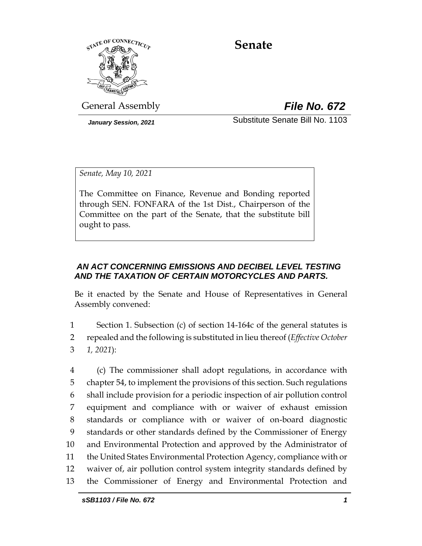

# **Senate**

General Assembly *File No. 672*

*January Session, 2021* Substitute Senate Bill No. 1103

*Senate, May 10, 2021*

The Committee on Finance, Revenue and Bonding reported through SEN. FONFARA of the 1st Dist., Chairperson of the Committee on the part of the Senate, that the substitute bill ought to pass.

## *AN ACT CONCERNING EMISSIONS AND DECIBEL LEVEL TESTING AND THE TAXATION OF CERTAIN MOTORCYCLES AND PARTS.*

Be it enacted by the Senate and House of Representatives in General Assembly convened:

1 Section 1. Subsection (c) of section 14-164c of the general statutes is 2 repealed and the following is substituted in lieu thereof (*Effective October*  3 *1, 2021*):

 (c) The commissioner shall adopt regulations, in accordance with chapter 54, to implement the provisions of this section. Such regulations shall include provision for a periodic inspection of air pollution control equipment and compliance with or waiver of exhaust emission standards or compliance with or waiver of on-board diagnostic standards or other standards defined by the Commissioner of Energy and Environmental Protection and approved by the Administrator of the United States Environmental Protection Agency, compliance with or waiver of, air pollution control system integrity standards defined by the Commissioner of Energy and Environmental Protection and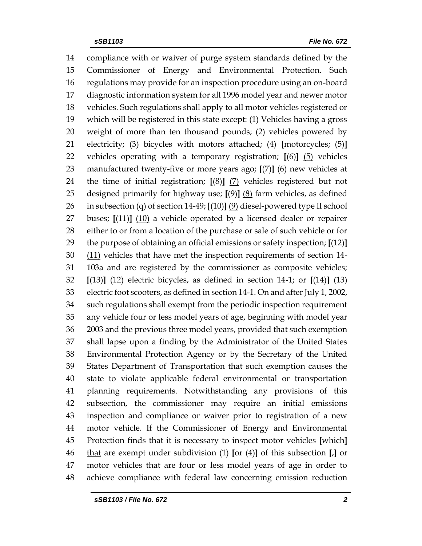compliance with or waiver of purge system standards defined by the Commissioner of Energy and Environmental Protection. Such regulations may provide for an inspection procedure using an on-board diagnostic information system for all 1996 model year and newer motor vehicles. Such regulations shall apply to all motor vehicles registered or which will be registered in this state except: (1) Vehicles having a gross weight of more than ten thousand pounds; (2) vehicles powered by electricity; (3) bicycles with motors attached; (4) **[**motorcycles; (5)**]** vehicles operating with a temporary registration; **[**(6)**]** (5) vehicles manufactured twenty-five or more years ago; **[**(7)**]** (6) new vehicles at the time of initial registration; **[**(8)**]** (7) vehicles registered but not designed primarily for highway use; **[**(9)**]** (8) farm vehicles, as defined in subsection (q) of section 14-49; **[**(10)**]** (9) diesel-powered type II school buses; **[**(11)**]** (10) a vehicle operated by a licensed dealer or repairer either to or from a location of the purchase or sale of such vehicle or for the purpose of obtaining an official emissions or safety inspection; **[**(12)**]** 30 (11) vehicles that have met the inspection requirements of section 14- 103a and are registered by the commissioner as composite vehicles; **[**(13)**]** (12) electric bicycles, as defined in section 14-1; or **[**(14)**]** (13) electric foot scooters, as defined in section 14-1. On and after July 1, 2002, such regulations shall exempt from the periodic inspection requirement any vehicle four or less model years of age, beginning with model year 2003 and the previous three model years, provided that such exemption shall lapse upon a finding by the Administrator of the United States Environmental Protection Agency or by the Secretary of the United States Department of Transportation that such exemption causes the state to violate applicable federal environmental or transportation planning requirements. Notwithstanding any provisions of this subsection, the commissioner may require an initial emissions inspection and compliance or waiver prior to registration of a new motor vehicle. If the Commissioner of Energy and Environmental Protection finds that it is necessary to inspect motor vehicles **[**which**]** that are exempt under subdivision (1) **[**or (4)**]** of this subsection **[**,**]** or motor vehicles that are four or less model years of age in order to achieve compliance with federal law concerning emission reduction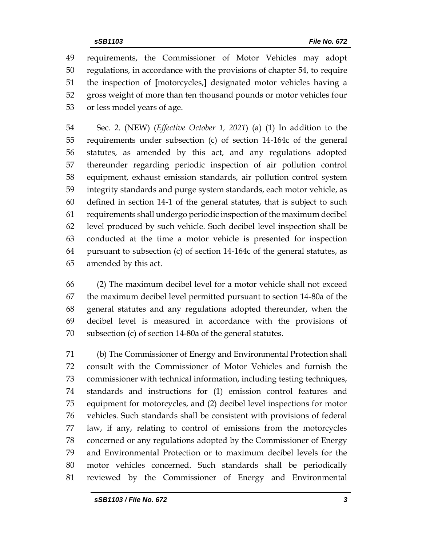requirements, the Commissioner of Motor Vehicles may adopt regulations, in accordance with the provisions of chapter 54, to require the inspection of **[**motorcycles,**]** designated motor vehicles having a gross weight of more than ten thousand pounds or motor vehicles four or less model years of age.

 Sec. 2. (NEW) (*Effective October 1, 2021*) (a) (1) In addition to the requirements under subsection (c) of section 14-164c of the general statutes, as amended by this act, and any regulations adopted thereunder regarding periodic inspection of air pollution control equipment, exhaust emission standards, air pollution control system integrity standards and purge system standards, each motor vehicle, as defined in section 14-1 of the general statutes, that is subject to such requirements shall undergo periodic inspection of the maximum decibel level produced by such vehicle. Such decibel level inspection shall be conducted at the time a motor vehicle is presented for inspection pursuant to subsection (c) of section 14-164c of the general statutes, as amended by this act.

 (2) The maximum decibel level for a motor vehicle shall not exceed the maximum decibel level permitted pursuant to section 14-80a of the general statutes and any regulations adopted thereunder, when the decibel level is measured in accordance with the provisions of subsection (c) of section 14-80a of the general statutes.

 (b) The Commissioner of Energy and Environmental Protection shall consult with the Commissioner of Motor Vehicles and furnish the commissioner with technical information, including testing techniques, standards and instructions for (1) emission control features and equipment for motorcycles, and (2) decibel level inspections for motor vehicles. Such standards shall be consistent with provisions of federal law, if any, relating to control of emissions from the motorcycles concerned or any regulations adopted by the Commissioner of Energy and Environmental Protection or to maximum decibel levels for the motor vehicles concerned. Such standards shall be periodically reviewed by the Commissioner of Energy and Environmental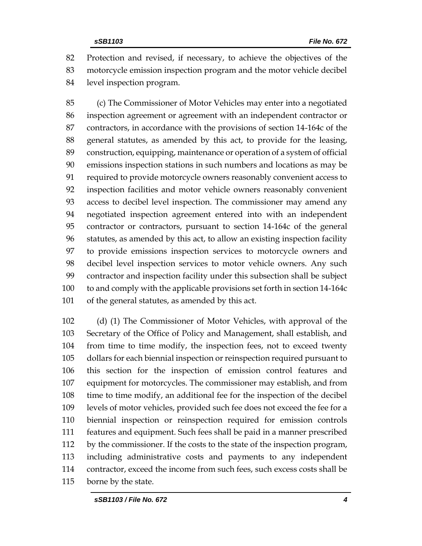Protection and revised, if necessary, to achieve the objectives of the motorcycle emission inspection program and the motor vehicle decibel level inspection program.

 (c) The Commissioner of Motor Vehicles may enter into a negotiated inspection agreement or agreement with an independent contractor or contractors, in accordance with the provisions of section 14-164c of the general statutes, as amended by this act, to provide for the leasing, construction, equipping, maintenance or operation of a system of official emissions inspection stations in such numbers and locations as may be required to provide motorcycle owners reasonably convenient access to inspection facilities and motor vehicle owners reasonably convenient access to decibel level inspection. The commissioner may amend any negotiated inspection agreement entered into with an independent contractor or contractors, pursuant to section 14-164c of the general statutes, as amended by this act, to allow an existing inspection facility to provide emissions inspection services to motorcycle owners and decibel level inspection services to motor vehicle owners. Any such contractor and inspection facility under this subsection shall be subject to and comply with the applicable provisions set forth in section 14-164c of the general statutes, as amended by this act.

 (d) (1) The Commissioner of Motor Vehicles, with approval of the Secretary of the Office of Policy and Management, shall establish, and from time to time modify, the inspection fees, not to exceed twenty dollars for each biennial inspection or reinspection required pursuant to this section for the inspection of emission control features and equipment for motorcycles. The commissioner may establish, and from time to time modify, an additional fee for the inspection of the decibel levels of motor vehicles, provided such fee does not exceed the fee for a biennial inspection or reinspection required for emission controls features and equipment. Such fees shall be paid in a manner prescribed by the commissioner. If the costs to the state of the inspection program, including administrative costs and payments to any independent contractor, exceed the income from such fees, such excess costs shall be borne by the state.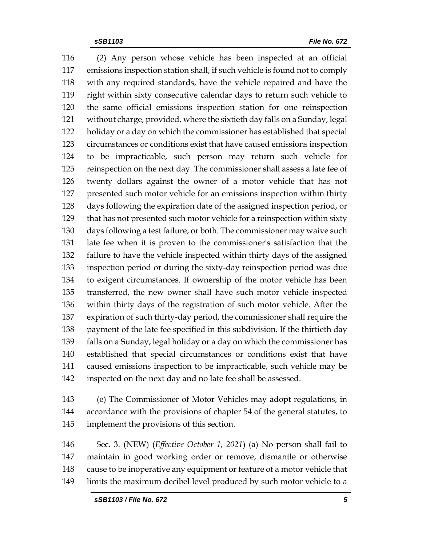(2) Any person whose vehicle has been inspected at an official emissions inspection station shall, if such vehicle is found not to comply with any required standards, have the vehicle repaired and have the right within sixty consecutive calendar days to return such vehicle to the same official emissions inspection station for one reinspection without charge, provided, where the sixtieth day falls on a Sunday, legal holiday or a day on which the commissioner has established that special circumstances or conditions exist that have caused emissions inspection to be impracticable, such person may return such vehicle for reinspection on the next day. The commissioner shall assess a late fee of twenty dollars against the owner of a motor vehicle that has not presented such motor vehicle for an emissions inspection within thirty days following the expiration date of the assigned inspection period, or that has not presented such motor vehicle for a reinspection within sixty days following a test failure, or both. The commissioner may waive such late fee when it is proven to the commissioner's satisfaction that the failure to have the vehicle inspected within thirty days of the assigned inspection period or during the sixty-day reinspection period was due to exigent circumstances. If ownership of the motor vehicle has been transferred, the new owner shall have such motor vehicle inspected within thirty days of the registration of such motor vehicle. After the expiration of such thirty-day period, the commissioner shall require the payment of the late fee specified in this subdivision. If the thirtieth day falls on a Sunday, legal holiday or a day on which the commissioner has established that special circumstances or conditions exist that have caused emissions inspection to be impracticable, such vehicle may be inspected on the next day and no late fee shall be assessed.

 (e) The Commissioner of Motor Vehicles may adopt regulations, in accordance with the provisions of chapter 54 of the general statutes, to implement the provisions of this section.

 Sec. 3. (NEW) (*Effective October 1, 2021*) (a) No person shall fail to maintain in good working order or remove, dismantle or otherwise cause to be inoperative any equipment or feature of a motor vehicle that limits the maximum decibel level produced by such motor vehicle to a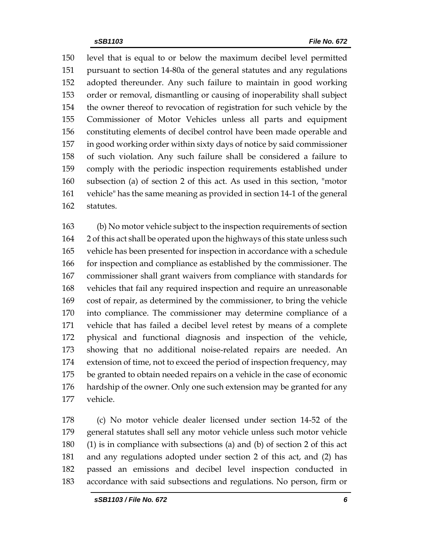level that is equal to or below the maximum decibel level permitted pursuant to section 14-80a of the general statutes and any regulations adopted thereunder. Any such failure to maintain in good working order or removal, dismantling or causing of inoperability shall subject the owner thereof to revocation of registration for such vehicle by the Commissioner of Motor Vehicles unless all parts and equipment constituting elements of decibel control have been made operable and in good working order within sixty days of notice by said commissioner of such violation. Any such failure shall be considered a failure to comply with the periodic inspection requirements established under subsection (a) of section 2 of this act. As used in this section, "motor vehicle" has the same meaning as provided in section 14-1 of the general statutes.

 (b) No motor vehicle subject to the inspection requirements of section 2 of this act shall be operated upon the highways of this state unless such vehicle has been presented for inspection in accordance with a schedule for inspection and compliance as established by the commissioner. The commissioner shall grant waivers from compliance with standards for vehicles that fail any required inspection and require an unreasonable cost of repair, as determined by the commissioner, to bring the vehicle into compliance. The commissioner may determine compliance of a vehicle that has failed a decibel level retest by means of a complete physical and functional diagnosis and inspection of the vehicle, showing that no additional noise-related repairs are needed. An extension of time, not to exceed the period of inspection frequency, may be granted to obtain needed repairs on a vehicle in the case of economic hardship of the owner. Only one such extension may be granted for any vehicle.

 (c) No motor vehicle dealer licensed under section 14-52 of the general statutes shall sell any motor vehicle unless such motor vehicle (1) is in compliance with subsections (a) and (b) of section 2 of this act and any regulations adopted under section 2 of this act, and (2) has passed an emissions and decibel level inspection conducted in accordance with said subsections and regulations. No person, firm or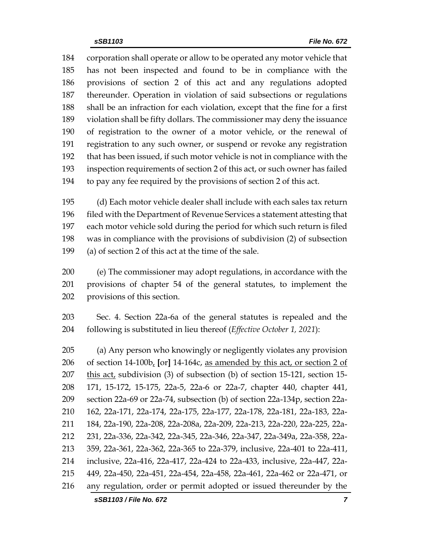corporation shall operate or allow to be operated any motor vehicle that has not been inspected and found to be in compliance with the provisions of section 2 of this act and any regulations adopted thereunder. Operation in violation of said subsections or regulations shall be an infraction for each violation, except that the fine for a first violation shall be fifty dollars. The commissioner may deny the issuance of registration to the owner of a motor vehicle, or the renewal of registration to any such owner, or suspend or revoke any registration that has been issued, if such motor vehicle is not in compliance with the inspection requirements of section 2 of this act, or such owner has failed to pay any fee required by the provisions of section 2 of this act.

 (d) Each motor vehicle dealer shall include with each sales tax return filed with the Department of Revenue Services a statement attesting that each motor vehicle sold during the period for which such return is filed was in compliance with the provisions of subdivision (2) of subsection (a) of section 2 of this act at the time of the sale.

 (e) The commissioner may adopt regulations, in accordance with the provisions of chapter 54 of the general statutes, to implement the provisions of this section.

 Sec. 4. Section 22a-6a of the general statutes is repealed and the following is substituted in lieu thereof (*Effective October 1, 2021*):

 (a) Any person who knowingly or negligently violates any provision of section 14-100b, **[**or**]** 14-164c, as amended by this act, or section 2 of 207 this act, subdivision  $(3)$  of subsection  $(b)$  of section 15-121, section 15- 171, 15-172, 15-175, 22a-5, 22a-6 or 22a-7, chapter 440, chapter 441, section 22a-69 or 22a-74, subsection (b) of section 22a-134p, section 22a- 162, 22a-171, 22a-174, 22a-175, 22a-177, 22a-178, 22a-181, 22a-183, 22a- 184, 22a-190, 22a-208, 22a-208a, 22a-209, 22a-213, 22a-220, 22a-225, 22a- 231, 22a-336, 22a-342, 22a-345, 22a-346, 22a-347, 22a-349a, 22a-358, 22a- 359, 22a-361, 22a-362, 22a-365 to 22a-379, inclusive, 22a-401 to 22a-411, inclusive, 22a-416, 22a-417, 22a-424 to 22a-433, inclusive, 22a-447, 22a- 449, 22a-450, 22a-451, 22a-454, 22a-458, 22a-461, 22a-462 or 22a-471, or any regulation, order or permit adopted or issued thereunder by the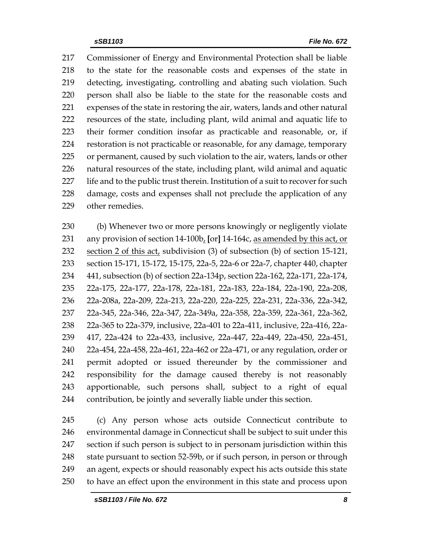Commissioner of Energy and Environmental Protection shall be liable to the state for the reasonable costs and expenses of the state in detecting, investigating, controlling and abating such violation. Such person shall also be liable to the state for the reasonable costs and expenses of the state in restoring the air, waters, lands and other natural resources of the state, including plant, wild animal and aquatic life to their former condition insofar as practicable and reasonable, or, if restoration is not practicable or reasonable, for any damage, temporary or permanent, caused by such violation to the air, waters, lands or other natural resources of the state, including plant, wild animal and aquatic life and to the public trust therein. Institution of a suit to recover for such damage, costs and expenses shall not preclude the application of any other remedies.

 (b) Whenever two or more persons knowingly or negligently violate any provision of section 14-100b, **[**or**]** 14-164c, as amended by this act, or section 2 of this act, subdivision (3) of subsection (b) of section 15-121, section 15-171, 15-172, 15-175, 22a-5, 22a-6 or 22a-7, chapter 440, chapter 441, subsection (b) of section 22a-134p, section 22a-162, 22a-171, 22a-174, 22a-175, 22a-177, 22a-178, 22a-181, 22a-183, 22a-184, 22a-190, 22a-208, 22a-208a, 22a-209, 22a-213, 22a-220, 22a-225, 22a-231, 22a-336, 22a-342, 22a-345, 22a-346, 22a-347, 22a-349a, 22a-358, 22a-359, 22a-361, 22a-362, 22a-365 to 22a-379, inclusive, 22a-401 to 22a-411, inclusive, 22a-416, 22a- 417, 22a-424 to 22a-433, inclusive, 22a-447, 22a-449, 22a-450, 22a-451, 22a-454, 22a-458, 22a-461, 22a-462 or 22a-471, or any regulation, order or permit adopted or issued thereunder by the commissioner and responsibility for the damage caused thereby is not reasonably apportionable, such persons shall, subject to a right of equal contribution, be jointly and severally liable under this section.

 (c) Any person whose acts outside Connecticut contribute to environmental damage in Connecticut shall be subject to suit under this section if such person is subject to in personam jurisdiction within this 248 state pursuant to section 52-59b, or if such person, in person or through an agent, expects or should reasonably expect his acts outside this state to have an effect upon the environment in this state and process upon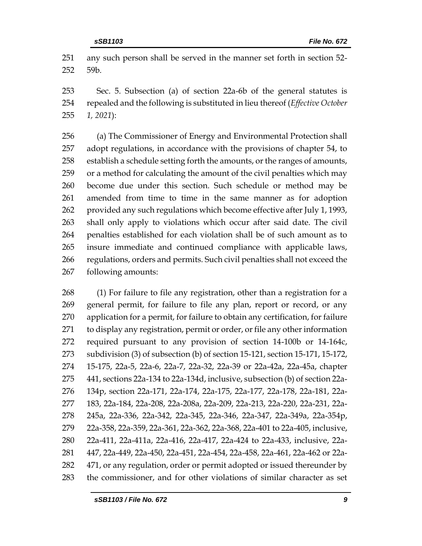any such person shall be served in the manner set forth in section 52- 59b.

 Sec. 5. Subsection (a) of section 22a-6b of the general statutes is repealed and the following is substituted in lieu thereof (*Effective October 1, 2021*):

 (a) The Commissioner of Energy and Environmental Protection shall adopt regulations, in accordance with the provisions of chapter 54, to establish a schedule setting forth the amounts, or the ranges of amounts, or a method for calculating the amount of the civil penalties which may become due under this section. Such schedule or method may be amended from time to time in the same manner as for adoption provided any such regulations which become effective after July 1, 1993, shall only apply to violations which occur after said date. The civil penalties established for each violation shall be of such amount as to insure immediate and continued compliance with applicable laws, regulations, orders and permits. Such civil penalties shall not exceed the following amounts:

 (1) For failure to file any registration, other than a registration for a general permit, for failure to file any plan, report or record, or any application for a permit, for failure to obtain any certification, for failure to display any registration, permit or order, or file any other information required pursuant to any provision of section 14-100b or 14-164c, subdivision (3) of subsection (b) of section 15-121, section 15-171, 15-172, 15-175, 22a-5, 22a-6, 22a-7, 22a-32, 22a-39 or 22a-42a, 22a-45a, chapter 441, sections 22a-134 to 22a-134d, inclusive, subsection (b) of section 22a- 134p, section 22a-171, 22a-174, 22a-175, 22a-177, 22a-178, 22a-181, 22a- 183, 22a-184, 22a-208, 22a-208a, 22a-209, 22a-213, 22a-220, 22a-231, 22a- 245a, 22a-336, 22a-342, 22a-345, 22a-346, 22a-347, 22a-349a, 22a-354p, 22a-358, 22a-359, 22a-361, 22a-362, 22a-368, 22a-401 to 22a-405, inclusive, 22a-411, 22a-411a, 22a-416, 22a-417, 22a-424 to 22a-433, inclusive, 22a- 447, 22a-449, 22a-450, 22a-451, 22a-454, 22a-458, 22a-461, 22a-462 or 22a-282 471, or any regulation, order or permit adopted or issued thereunder by the commissioner, and for other violations of similar character as set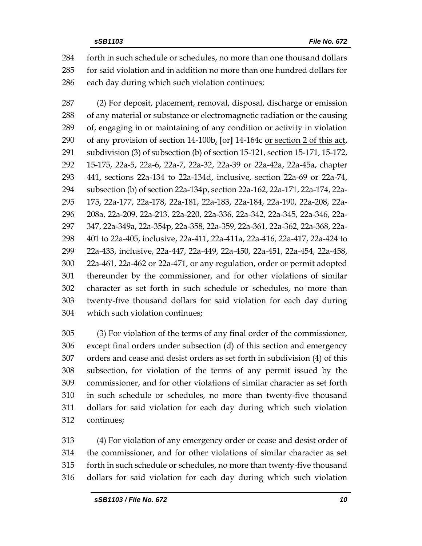forth in such schedule or schedules, no more than one thousand dollars for said violation and in addition no more than one hundred dollars for each day during which such violation continues;

 (2) For deposit, placement, removal, disposal, discharge or emission of any material or substance or electromagnetic radiation or the causing of, engaging in or maintaining of any condition or activity in violation of any provision of section 14-100b, **[**or**]** 14-164c or section 2 of this act, subdivision (3) of subsection (b) of section 15-121, section 15-171, 15-172, 15-175, 22a-5, 22a-6, 22a-7, 22a-32, 22a-39 or 22a-42a, 22a-45a, chapter 441, sections 22a-134 to 22a-134d, inclusive, section 22a-69 or 22a-74, subsection (b) of section 22a-134p, section 22a-162, 22a-171, 22a-174, 22a- 175, 22a-177, 22a-178, 22a-181, 22a-183, 22a-184, 22a-190, 22a-208, 22a- 208a, 22a-209, 22a-213, 22a-220, 22a-336, 22a-342, 22a-345, 22a-346, 22a- 347, 22a-349a, 22a-354p, 22a-358, 22a-359, 22a-361, 22a-362, 22a-368, 22a- 401 to 22a-405, inclusive, 22a-411, 22a-411a, 22a-416, 22a-417, 22a-424 to 22a-433, inclusive, 22a-447, 22a-449, 22a-450, 22a-451, 22a-454, 22a-458, 22a-461, 22a-462 or 22a-471, or any regulation, order or permit adopted thereunder by the commissioner, and for other violations of similar character as set forth in such schedule or schedules, no more than twenty-five thousand dollars for said violation for each day during which such violation continues;

 (3) For violation of the terms of any final order of the commissioner, except final orders under subsection (d) of this section and emergency orders and cease and desist orders as set forth in subdivision (4) of this subsection, for violation of the terms of any permit issued by the commissioner, and for other violations of similar character as set forth in such schedule or schedules, no more than twenty-five thousand dollars for said violation for each day during which such violation continues;

 (4) For violation of any emergency order or cease and desist order of the commissioner, and for other violations of similar character as set forth in such schedule or schedules, no more than twenty-five thousand dollars for said violation for each day during which such violation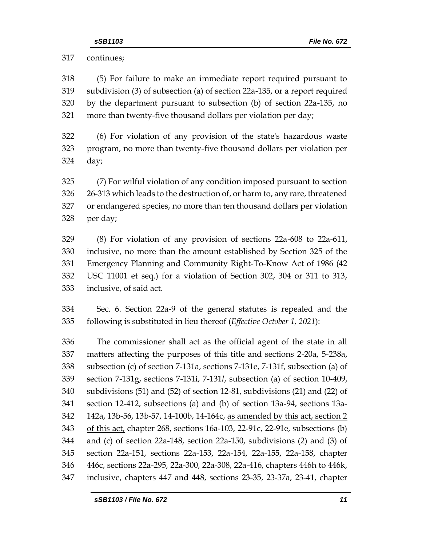continues;

 (5) For failure to make an immediate report required pursuant to subdivision (3) of subsection (a) of section 22a-135, or a report required by the department pursuant to subsection (b) of section 22a-135, no more than twenty-five thousand dollars per violation per day;

 (6) For violation of any provision of the state's hazardous waste program, no more than twenty-five thousand dollars per violation per day;

 (7) For wilful violation of any condition imposed pursuant to section 26-313 which leads to the destruction of, or harm to, any rare, threatened or endangered species, no more than ten thousand dollars per violation per day;

 (8) For violation of any provision of sections 22a-608 to 22a-611, inclusive, no more than the amount established by Section 325 of the Emergency Planning and Community Right-To-Know Act of 1986 (42 USC 11001 et seq.) for a violation of Section 302, 304 or 311 to 313, inclusive, of said act.

 Sec. 6. Section 22a-9 of the general statutes is repealed and the following is substituted in lieu thereof (*Effective October 1, 2021*):

 The commissioner shall act as the official agent of the state in all matters affecting the purposes of this title and sections 2-20a, 5-238a, subsection (c) of section 7-131a, sections 7-131e, 7-131f, subsection (a) of section 7-131g, sections 7-131i, 7-131*l*, subsection (a) of section 10-409, subdivisions (51) and (52) of section 12-81, subdivisions (21) and (22) of section 12-412, subsections (a) and (b) of section 13a-94, sections 13a- 142a, 13b-56, 13b-57, 14-100b, 14-164c, as amended by this act, section 2 of this act, chapter 268, sections 16a-103, 22-91c, 22-91e, subsections (b) and (c) of section 22a-148, section 22a-150, subdivisions (2) and (3) of section 22a-151, sections 22a-153, 22a-154, 22a-155, 22a-158, chapter 446c, sections 22a-295, 22a-300, 22a-308, 22a-416, chapters 446h to 446k, inclusive, chapters 447 and 448, sections 23-35, 23-37a, 23-41, chapter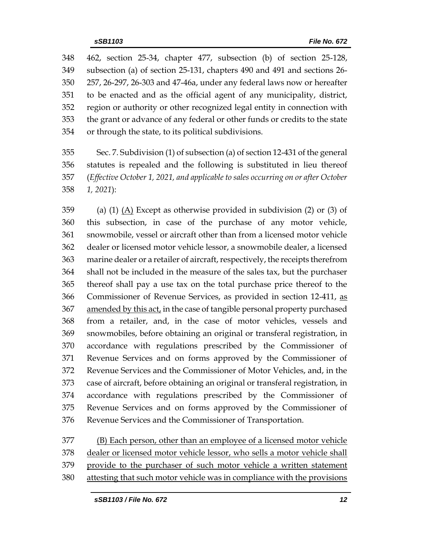462, section 25-34, chapter 477, subsection (b) of section 25-128, subsection (a) of section 25-131, chapters 490 and 491 and sections 26- 257, 26-297, 26-303 and 47-46a, under any federal laws now or hereafter to be enacted and as the official agent of any municipality, district, region or authority or other recognized legal entity in connection with the grant or advance of any federal or other funds or credits to the state or through the state, to its political subdivisions.

 Sec. 7. Subdivision (1) of subsection (a) of section 12-431 of the general statutes is repealed and the following is substituted in lieu thereof (*Effective October 1, 2021, and applicable to sales occurring on or after October 1, 2021*):

 (a) (1) (A) Except as otherwise provided in subdivision (2) or (3) of this subsection, in case of the purchase of any motor vehicle, snowmobile, vessel or aircraft other than from a licensed motor vehicle dealer or licensed motor vehicle lessor, a snowmobile dealer, a licensed marine dealer or a retailer of aircraft, respectively, the receipts therefrom shall not be included in the measure of the sales tax, but the purchaser thereof shall pay a use tax on the total purchase price thereof to the Commissioner of Revenue Services, as provided in section 12-411, as 367 amended by this act, in the case of tangible personal property purchased from a retailer, and, in the case of motor vehicles, vessels and snowmobiles, before obtaining an original or transferal registration, in accordance with regulations prescribed by the Commissioner of Revenue Services and on forms approved by the Commissioner of Revenue Services and the Commissioner of Motor Vehicles, and, in the case of aircraft, before obtaining an original or transferal registration, in accordance with regulations prescribed by the Commissioner of Revenue Services and on forms approved by the Commissioner of Revenue Services and the Commissioner of Transportation.

 (B) Each person, other than an employee of a licensed motor vehicle dealer or licensed motor vehicle lessor, who sells a motor vehicle shall provide to the purchaser of such motor vehicle a written statement attesting that such motor vehicle was in compliance with the provisions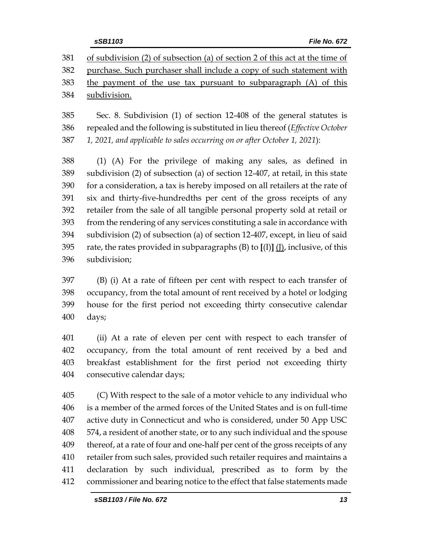of subdivision (2) of subsection (a) of section 2 of this act at the time of purchase. Such purchaser shall include a copy of such statement with the payment of the use tax pursuant to subparagraph (A) of this subdivision.

 Sec. 8. Subdivision (1) of section 12-408 of the general statutes is repealed and the following is substituted in lieu thereof (*Effective October 1, 2021, and applicable to sales occurring on or after October 1, 2021*):

 (1) (A) For the privilege of making any sales, as defined in subdivision (2) of subsection (a) of section 12-407, at retail, in this state for a consideration, a tax is hereby imposed on all retailers at the rate of six and thirty-five-hundredths per cent of the gross receipts of any retailer from the sale of all tangible personal property sold at retail or from the rendering of any services constituting a sale in accordance with subdivision (2) of subsection (a) of section 12-407, except, in lieu of said rate, the rates provided in subparagraphs (B) to **[**(I)**]** (J), inclusive, of this subdivision;

 (B) (i) At a rate of fifteen per cent with respect to each transfer of occupancy, from the total amount of rent received by a hotel or lodging house for the first period not exceeding thirty consecutive calendar days;

 (ii) At a rate of eleven per cent with respect to each transfer of occupancy, from the total amount of rent received by a bed and breakfast establishment for the first period not exceeding thirty consecutive calendar days;

 (C) With respect to the sale of a motor vehicle to any individual who is a member of the armed forces of the United States and is on full-time active duty in Connecticut and who is considered, under 50 App USC 574, a resident of another state, or to any such individual and the spouse thereof, at a rate of four and one-half per cent of the gross receipts of any retailer from such sales, provided such retailer requires and maintains a declaration by such individual, prescribed as to form by the commissioner and bearing notice to the effect that false statements made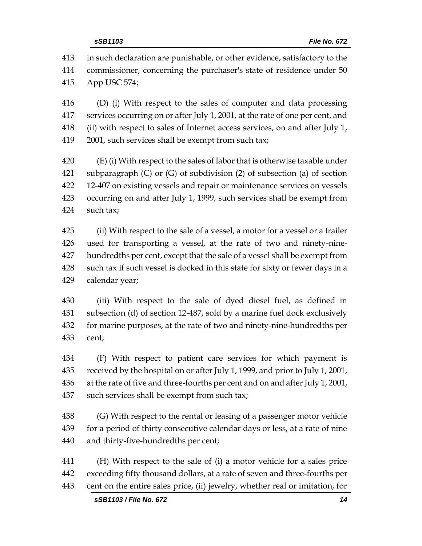in such declaration are punishable, or other evidence, satisfactory to the commissioner, concerning the purchaser's state of residence under 50 App USC 574;

 (D) (i) With respect to the sales of computer and data processing services occurring on or after July 1, 2001, at the rate of one per cent, and (ii) with respect to sales of Internet access services, on and after July 1, 2001, such services shall be exempt from such tax;

 (E) (i) With respect to the sales of labor that is otherwise taxable under subparagraph (C) or (G) of subdivision (2) of subsection (a) of section 12-407 on existing vessels and repair or maintenance services on vessels occurring on and after July 1, 1999, such services shall be exempt from such tax;

 (ii) With respect to the sale of a vessel, a motor for a vessel or a trailer used for transporting a vessel, at the rate of two and ninety-nine- hundredths per cent, except that the sale of a vessel shall be exempt from such tax if such vessel is docked in this state for sixty or fewer days in a calendar year;

 (iii) With respect to the sale of dyed diesel fuel, as defined in subsection (d) of section 12-487, sold by a marine fuel dock exclusively for marine purposes, at the rate of two and ninety-nine-hundredths per cent;

 (F) With respect to patient care services for which payment is received by the hospital on or after July 1, 1999, and prior to July 1, 2001, at the rate of five and three-fourths per cent and on and after July 1, 2001, such services shall be exempt from such tax;

438 (G) With respect to the rental or leasing of a passenger motor vehicle for a period of thirty consecutive calendar days or less, at a rate of nine and thirty-five-hundredths per cent;

 (H) With respect to the sale of (i) a motor vehicle for a sales price exceeding fifty thousand dollars, at a rate of seven and three-fourths per cent on the entire sales price, (ii) jewelry, whether real or imitation, for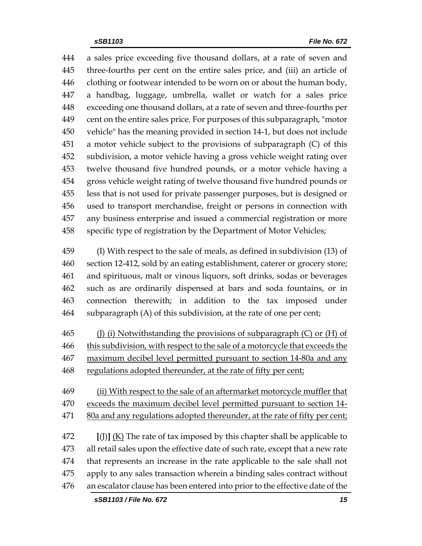a sales price exceeding five thousand dollars, at a rate of seven and three-fourths per cent on the entire sales price, and (iii) an article of clothing or footwear intended to be worn on or about the human body, a handbag, luggage, umbrella, wallet or watch for a sales price exceeding one thousand dollars, at a rate of seven and three-fourths per cent on the entire sales price. For purposes of this subparagraph, "motor vehicle" has the meaning provided in section 14-1, but does not include a motor vehicle subject to the provisions of subparagraph (C) of this subdivision, a motor vehicle having a gross vehicle weight rating over twelve thousand five hundred pounds, or a motor vehicle having a gross vehicle weight rating of twelve thousand five hundred pounds or less that is not used for private passenger purposes, but is designed or used to transport merchandise, freight or persons in connection with any business enterprise and issued a commercial registration or more specific type of registration by the Department of Motor Vehicles;

 (I) With respect to the sale of meals, as defined in subdivision (13) of section 12-412, sold by an eating establishment, caterer or grocery store; and spirituous, malt or vinous liquors, soft drinks, sodas or beverages such as are ordinarily dispensed at bars and soda fountains, or in connection therewith; in addition to the tax imposed under subparagraph (A) of this subdivision, at the rate of one per cent;

465 (J) (i) Notwithstanding the provisions of subparagraph  $(C)$  or  $(H)$  of this subdivision, with respect to the sale of a motorcycle that exceeds the maximum decibel level permitted pursuant to section 14-80a and any regulations adopted thereunder, at the rate of fifty per cent;

 (ii) With respect to the sale of an aftermarket motorcycle muffler that exceeds the maximum decibel level permitted pursuant to section 14- 471 80a and any regulations adopted thereunder, at the rate of fifty per cent;

 **[**(J)**]** (K) The rate of tax imposed by this chapter shall be applicable to all retail sales upon the effective date of such rate, except that a new rate that represents an increase in the rate applicable to the sale shall not apply to any sales transaction wherein a binding sales contract without an escalator clause has been entered into prior to the effective date of the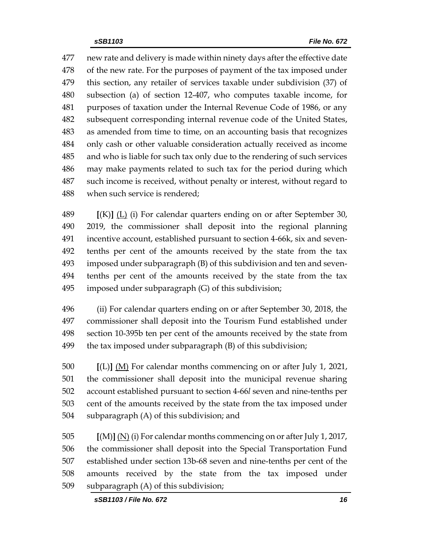new rate and delivery is made within ninety days after the effective date of the new rate. For the purposes of payment of the tax imposed under this section, any retailer of services taxable under subdivision (37) of subsection (a) of section 12-407, who computes taxable income, for purposes of taxation under the Internal Revenue Code of 1986, or any subsequent corresponding internal revenue code of the United States, as amended from time to time, on an accounting basis that recognizes only cash or other valuable consideration actually received as income and who is liable for such tax only due to the rendering of such services may make payments related to such tax for the period during which such income is received, without penalty or interest, without regard to when such service is rendered;

 **[**(K)**]** (L) (i) For calendar quarters ending on or after September 30, 2019, the commissioner shall deposit into the regional planning incentive account, established pursuant to section 4-66k, six and seven- tenths per cent of the amounts received by the state from the tax imposed under subparagraph (B) of this subdivision and ten and seven- tenths per cent of the amounts received by the state from the tax imposed under subparagraph (G) of this subdivision;

 (ii) For calendar quarters ending on or after September 30, 2018, the commissioner shall deposit into the Tourism Fund established under section 10-395b ten per cent of the amounts received by the state from the tax imposed under subparagraph (B) of this subdivision;

 **[**(L)**]** (M) For calendar months commencing on or after July 1, 2021, the commissioner shall deposit into the municipal revenue sharing account established pursuant to section 4-66*l* seven and nine-tenths per cent of the amounts received by the state from the tax imposed under subparagraph (A) of this subdivision; and

 **[**(M)**]** (N) (i) For calendar months commencing on or after July 1, 2017, the commissioner shall deposit into the Special Transportation Fund established under section 13b-68 seven and nine-tenths per cent of the amounts received by the state from the tax imposed under subparagraph (A) of this subdivision;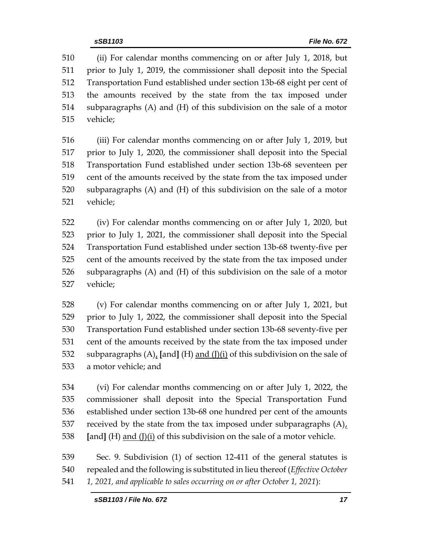(ii) For calendar months commencing on or after July 1, 2018, but prior to July 1, 2019, the commissioner shall deposit into the Special Transportation Fund established under section 13b-68 eight per cent of the amounts received by the state from the tax imposed under subparagraphs (A) and (H) of this subdivision on the sale of a motor vehicle;

 (iii) For calendar months commencing on or after July 1, 2019, but prior to July 1, 2020, the commissioner shall deposit into the Special Transportation Fund established under section 13b-68 seventeen per cent of the amounts received by the state from the tax imposed under subparagraphs (A) and (H) of this subdivision on the sale of a motor vehicle;

 (iv) For calendar months commencing on or after July 1, 2020, but prior to July 1, 2021, the commissioner shall deposit into the Special Transportation Fund established under section 13b-68 twenty-five per cent of the amounts received by the state from the tax imposed under subparagraphs (A) and (H) of this subdivision on the sale of a motor vehicle;

 (v) For calendar months commencing on or after July 1, 2021, but prior to July 1, 2022, the commissioner shall deposit into the Special Transportation Fund established under section 13b-68 seventy-five per cent of the amounts received by the state from the tax imposed under subparagraphs (A), **[**and**]** (H) and (J)(i) of this subdivision on the sale of a motor vehicle; and

 (vi) For calendar months commencing on or after July 1, 2022, the commissioner shall deposit into the Special Transportation Fund established under section 13b-68 one hundred per cent of the amounts 537 received by the state from the tax imposed under subparagraphs  $(A)$ , **[**and**]** (H) and (J)(i) of this subdivision on the sale of a motor vehicle.

 Sec. 9. Subdivision (1) of section 12-411 of the general statutes is repealed and the following is substituted in lieu thereof (*Effective October 1, 2021, and applicable to sales occurring on or after October 1, 2021*):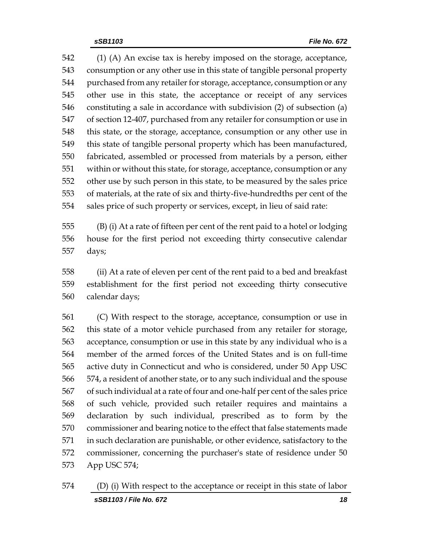(1) (A) An excise tax is hereby imposed on the storage, acceptance, consumption or any other use in this state of tangible personal property purchased from any retailer for storage, acceptance, consumption or any other use in this state, the acceptance or receipt of any services constituting a sale in accordance with subdivision (2) of subsection (a) of section 12-407, purchased from any retailer for consumption or use in this state, or the storage, acceptance, consumption or any other use in this state of tangible personal property which has been manufactured, fabricated, assembled or processed from materials by a person, either within or without this state, for storage, acceptance, consumption or any other use by such person in this state, to be measured by the sales price of materials, at the rate of six and thirty-five-hundredths per cent of the sales price of such property or services, except, in lieu of said rate:

 (B) (i) At a rate of fifteen per cent of the rent paid to a hotel or lodging house for the first period not exceeding thirty consecutive calendar days;

 (ii) At a rate of eleven per cent of the rent paid to a bed and breakfast establishment for the first period not exceeding thirty consecutive calendar days;

 (C) With respect to the storage, acceptance, consumption or use in this state of a motor vehicle purchased from any retailer for storage, acceptance, consumption or use in this state by any individual who is a member of the armed forces of the United States and is on full-time active duty in Connecticut and who is considered, under 50 App USC 574, a resident of another state, or to any such individual and the spouse of such individual at a rate of four and one-half per cent of the sales price of such vehicle, provided such retailer requires and maintains a declaration by such individual, prescribed as to form by the commissioner and bearing notice to the effect that false statements made in such declaration are punishable, or other evidence, satisfactory to the commissioner, concerning the purchaser's state of residence under 50 App USC 574;

*sSB1103 / File No. 672 18* (D) (i) With respect to the acceptance or receipt in this state of labor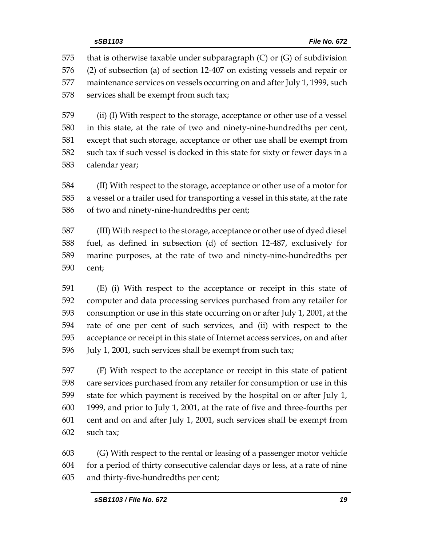575 that is otherwise taxable under subparagraph  $(C)$  or  $(G)$  of subdivision (2) of subsection (a) of section 12-407 on existing vessels and repair or maintenance services on vessels occurring on and after July 1, 1999, such 578 services shall be exempt from such tax;

 (ii) (I) With respect to the storage, acceptance or other use of a vessel in this state, at the rate of two and ninety-nine-hundredths per cent, except that such storage, acceptance or other use shall be exempt from such tax if such vessel is docked in this state for sixty or fewer days in a calendar year;

 (II) With respect to the storage, acceptance or other use of a motor for a vessel or a trailer used for transporting a vessel in this state, at the rate of two and ninety-nine-hundredths per cent;

 (III) With respect to the storage, acceptance or other use of dyed diesel fuel, as defined in subsection (d) of section 12-487, exclusively for marine purposes, at the rate of two and ninety-nine-hundredths per cent;

 (E) (i) With respect to the acceptance or receipt in this state of computer and data processing services purchased from any retailer for consumption or use in this state occurring on or after July 1, 2001, at the rate of one per cent of such services, and (ii) with respect to the acceptance or receipt in this state of Internet access services, on and after July 1, 2001, such services shall be exempt from such tax;

 (F) With respect to the acceptance or receipt in this state of patient care services purchased from any retailer for consumption or use in this state for which payment is received by the hospital on or after July 1, 1999, and prior to July 1, 2001, at the rate of five and three-fourths per cent and on and after July 1, 2001, such services shall be exempt from such tax;

 (G) With respect to the rental or leasing of a passenger motor vehicle for a period of thirty consecutive calendar days or less, at a rate of nine and thirty-five-hundredths per cent;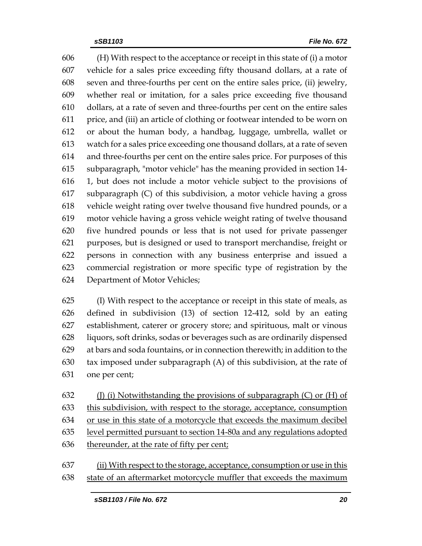(H) With respect to the acceptance or receipt in this state of (i) a motor vehicle for a sales price exceeding fifty thousand dollars, at a rate of seven and three-fourths per cent on the entire sales price, (ii) jewelry, whether real or imitation, for a sales price exceeding five thousand dollars, at a rate of seven and three-fourths per cent on the entire sales price, and (iii) an article of clothing or footwear intended to be worn on or about the human body, a handbag, luggage, umbrella, wallet or watch for a sales price exceeding one thousand dollars, at a rate of seven and three-fourths per cent on the entire sales price. For purposes of this subparagraph, "motor vehicle" has the meaning provided in section 14- 1, but does not include a motor vehicle subject to the provisions of subparagraph (C) of this subdivision, a motor vehicle having a gross vehicle weight rating over twelve thousand five hundred pounds, or a motor vehicle having a gross vehicle weight rating of twelve thousand five hundred pounds or less that is not used for private passenger purposes, but is designed or used to transport merchandise, freight or persons in connection with any business enterprise and issued a commercial registration or more specific type of registration by the Department of Motor Vehicles;

 (I) With respect to the acceptance or receipt in this state of meals, as defined in subdivision (13) of section 12-412, sold by an eating establishment, caterer or grocery store; and spirituous, malt or vinous liquors, soft drinks, sodas or beverages such as are ordinarily dispensed at bars and soda fountains, or in connection therewith; in addition to the tax imposed under subparagraph (A) of this subdivision, at the rate of one per cent;

632 (J) (i) Notwithstanding the provisions of subparagraph  $(C)$  or  $(H)$  of this subdivision, with respect to the storage, acceptance, consumption or use in this state of a motorcycle that exceeds the maximum decibel level permitted pursuant to section 14-80a and any regulations adopted 636 thereunder, at the rate of fifty per cent;

 (ii) With respect to the storage, acceptance, consumption or use in this state of an aftermarket motorcycle muffler that exceeds the maximum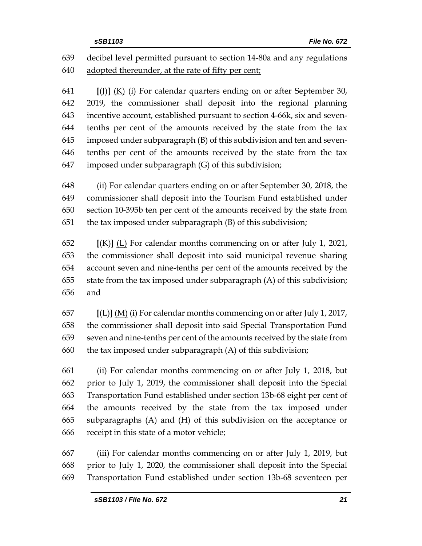## decibel level permitted pursuant to section 14-80a and any regulations adopted thereunder, at the rate of fifty per cent;

 **[**(J)**]** (K) (i) For calendar quarters ending on or after September 30, 2019, the commissioner shall deposit into the regional planning incentive account, established pursuant to section 4-66k, six and seven- tenths per cent of the amounts received by the state from the tax imposed under subparagraph (B) of this subdivision and ten and seven- tenths per cent of the amounts received by the state from the tax imposed under subparagraph (G) of this subdivision;

 (ii) For calendar quarters ending on or after September 30, 2018, the commissioner shall deposit into the Tourism Fund established under section 10-395b ten per cent of the amounts received by the state from the tax imposed under subparagraph (B) of this subdivision;

 **[**(K)**]** (L) For calendar months commencing on or after July 1, 2021, the commissioner shall deposit into said municipal revenue sharing account seven and nine-tenths per cent of the amounts received by the state from the tax imposed under subparagraph (A) of this subdivision; and

 **[**(L)**]** (M) (i) For calendar months commencing on or after July 1, 2017, the commissioner shall deposit into said Special Transportation Fund seven and nine-tenths per cent of the amounts received by the state from 660 the tax imposed under subparagraph  $(A)$  of this subdivision;

 (ii) For calendar months commencing on or after July 1, 2018, but prior to July 1, 2019, the commissioner shall deposit into the Special Transportation Fund established under section 13b-68 eight per cent of the amounts received by the state from the tax imposed under subparagraphs (A) and (H) of this subdivision on the acceptance or receipt in this state of a motor vehicle;

 (iii) For calendar months commencing on or after July 1, 2019, but prior to July 1, 2020, the commissioner shall deposit into the Special Transportation Fund established under section 13b-68 seventeen per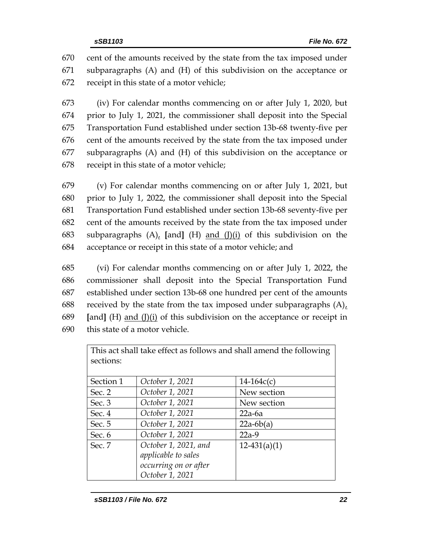670 cent of the amounts received by the state from the tax imposed under 671 subparagraphs (A) and (H) of this subdivision on the acceptance or 672 receipt in this state of a motor vehicle;

 (iv) For calendar months commencing on or after July 1, 2020, but prior to July 1, 2021, the commissioner shall deposit into the Special Transportation Fund established under section 13b-68 twenty-five per cent of the amounts received by the state from the tax imposed under subparagraphs (A) and (H) of this subdivision on the acceptance or receipt in this state of a motor vehicle;

 (v) For calendar months commencing on or after July 1, 2021, but prior to July 1, 2022, the commissioner shall deposit into the Special Transportation Fund established under section 13b-68 seventy-five per cent of the amounts received by the state from the tax imposed under subparagraphs (A), **[**and**]** (H) and (J)(i) of this subdivision on the acceptance or receipt in this state of a motor vehicle; and

 (vi) For calendar months commencing on or after July 1, 2022, the commissioner shall deposit into the Special Transportation Fund established under section 13b-68 one hundred per cent of the amounts received by the state from the tax imposed under subparagraphs (A), **[**and**]** (H) and (J)(i) of this subdivision on the acceptance or receipt in this state of a motor vehicle.

| This act shall take effect as follows and shall amend the following |                       |                |  |  |  |  |  |
|---------------------------------------------------------------------|-----------------------|----------------|--|--|--|--|--|
| sections:                                                           |                       |                |  |  |  |  |  |
|                                                                     |                       |                |  |  |  |  |  |
| Section 1                                                           | October 1, 2021       | $14 - 164c(c)$ |  |  |  |  |  |
| Sec. 2                                                              | October 1, 2021       | New section    |  |  |  |  |  |
| Sec. $3$                                                            | October 1, 2021       | New section    |  |  |  |  |  |
| Sec. $4$                                                            | October 1, 2021       | $22a-6a$       |  |  |  |  |  |
| Sec. 5                                                              | October 1, 2021       | $22a-6b(a)$    |  |  |  |  |  |
| Sec. $6$                                                            | October 1, 2021       | $22a-9$        |  |  |  |  |  |
| Sec. 7                                                              | October 1, 2021, and  | $12-431(a)(1)$ |  |  |  |  |  |
|                                                                     | applicable to sales   |                |  |  |  |  |  |
|                                                                     | occurring on or after |                |  |  |  |  |  |
|                                                                     | October 1, 2021       |                |  |  |  |  |  |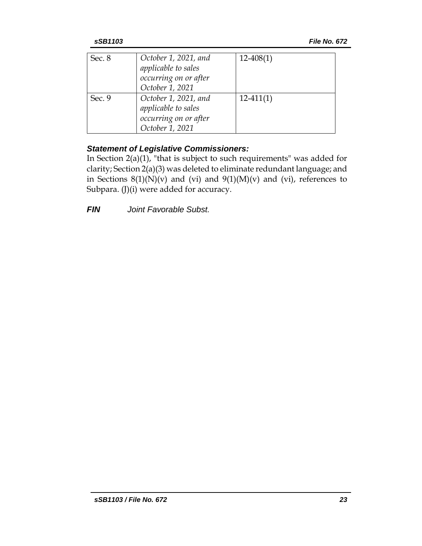| Sec. 8 | October 1, 2021, and<br>applicable to sales<br>occurring on or after<br>October 1, 2021 | $12 - 408(1)$ |
|--------|-----------------------------------------------------------------------------------------|---------------|
| Sec. 9 | October 1, 2021, and<br>applicable to sales<br>occurring on or after<br>October 1, 2021 | $12-411(1)$   |

## *Statement of Legislative Commissioners:*

In Section 2(a)(1), "that is subject to such requirements" was added for clarity; Section 2(a)(3) was deleted to eliminate redundant language; and in Sections  $8(1)(N)(v)$  and  $(vi)$  and  $9(1)(M)(v)$  and  $(vi)$ , references to Subpara. (J)(i) were added for accuracy.

*FIN Joint Favorable Subst.*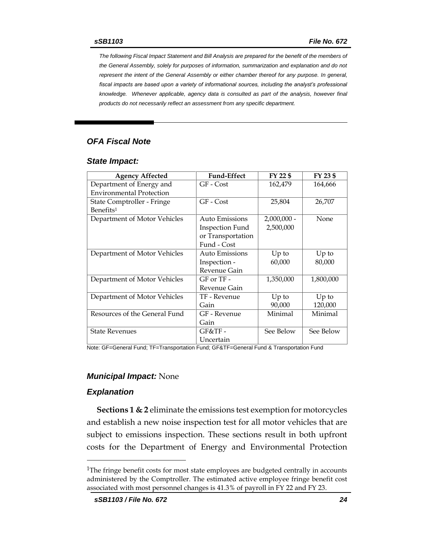*The following Fiscal Impact Statement and Bill Analysis are prepared for the benefit of the members of the General Assembly, solely for purposes of information, summarization and explanation and do not represent the intent of the General Assembly or either chamber thereof for any purpose. In general,*  fiscal impacts are based upon a variety of informational sources, including the analyst's professional *knowledge. Whenever applicable, agency data is consulted as part of the analysis, however final products do not necessarily reflect an assessment from any specific department.*

#### *OFA Fiscal Note*

#### *State Impact:*

| <b>Agency Affected</b>          | <b>Fund-Effect</b> | FY 22 \$      | FY 23 \$  |
|---------------------------------|--------------------|---------------|-----------|
| Department of Energy and        | GF - Cost          | 162,479       | 164,666   |
| <b>Environmental Protection</b> |                    |               |           |
| State Comptroller - Fringe      | GF - Cost          | 25,804        |           |
| Benefits <sup>1</sup>           |                    |               |           |
| Department of Motor Vehicles    | Auto Emissions     | $2,000,000 -$ | None      |
|                                 | Inspection Fund    | 2,500,000     |           |
|                                 | or Transportation  |               |           |
|                                 | Fund - Cost        |               |           |
| Department of Motor Vehicles    | Auto Emissions     | $Up$ to       | $Up$ to   |
|                                 | Inspection -       | 60,000        | 80,000    |
|                                 | Revenue Gain       |               |           |
| Department of Motor Vehicles    | $GF$ or $TF -$     | 1,350,000     | 1,800,000 |
|                                 | Revenue Gain       |               |           |
| Department of Motor Vehicles    | TF - Revenue       | $Up$ to       | $Up$ to   |
|                                 | Gain               | 90,000        | 120,000   |
| Resources of the General Fund   | GF - Revenue       | Minimal       | Minimal   |
|                                 | Gain               |               |           |
| <b>State Revenues</b>           | $GF&TF-$           | See Below     | See Below |
|                                 | Uncertain          |               |           |

Note: GF=General Fund; TF=Transportation Fund; GF&TF=General Fund & Transportation Fund

#### *Municipal Impact:* None

#### *Explanation*

 $\overline{a}$ 

**Sections 1 & 2** eliminate the emissions test exemption for motorcycles and establish a new noise inspection test for all motor vehicles that are subject to emissions inspection. These sections result in both upfront costs for the Department of Energy and Environmental Protection

<sup>&</sup>lt;sup>1</sup>The fringe benefit costs for most state employees are budgeted centrally in accounts administered by the Comptroller. The estimated active employee fringe benefit cost associated with most personnel changes is 41.3% of payroll in FY 22 and FY 23.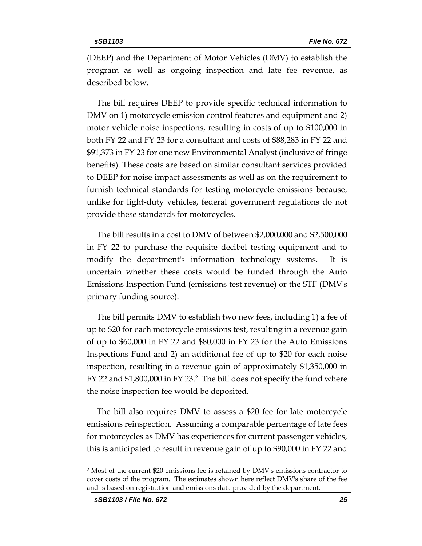(DEEP) and the Department of Motor Vehicles (DMV) to establish the program as well as ongoing inspection and late fee revenue, as described below.

The bill requires DEEP to provide specific technical information to DMV on 1) motorcycle emission control features and equipment and 2) motor vehicle noise inspections, resulting in costs of up to \$100,000 in both FY 22 and FY 23 for a consultant and costs of \$88,283 in FY 22 and \$91,373 in FY 23 for one new Environmental Analyst (inclusive of fringe benefits). These costs are based on similar consultant services provided to DEEP for noise impact assessments as well as on the requirement to furnish technical standards for testing motorcycle emissions because, unlike for light-duty vehicles, federal government regulations do not provide these standards for motorcycles.

The bill results in a cost to DMV of between \$2,000,000 and \$2,500,000 in FY 22 to purchase the requisite decibel testing equipment and to modify the department's information technology systems. It is uncertain whether these costs would be funded through the Auto Emissions Inspection Fund (emissions test revenue) or the STF (DMV's primary funding source).

The bill permits DMV to establish two new fees, including 1) a fee of up to \$20 for each motorcycle emissions test, resulting in a revenue gain of up to \$60,000 in FY 22 and \$80,000 in FY 23 for the Auto Emissions Inspections Fund and 2) an additional fee of up to \$20 for each noise inspection, resulting in a revenue gain of approximately \$1,350,000 in FY 22 and \$1,800,000 in FY 23.2 The bill does not specify the fund where the noise inspection fee would be deposited.

The bill also requires DMV to assess a \$20 fee for late motorcycle emissions reinspection. Assuming a comparable percentage of late fees for motorcycles as DMV has experiences for current passenger vehicles, this is anticipated to result in revenue gain of up to \$90,000 in FY 22 and

 $\overline{a}$ 

<sup>2</sup> Most of the current \$20 emissions fee is retained by DMV's emissions contractor to cover costs of the program. The estimates shown here reflect DMV's share of the fee and is based on registration and emissions data provided by the department.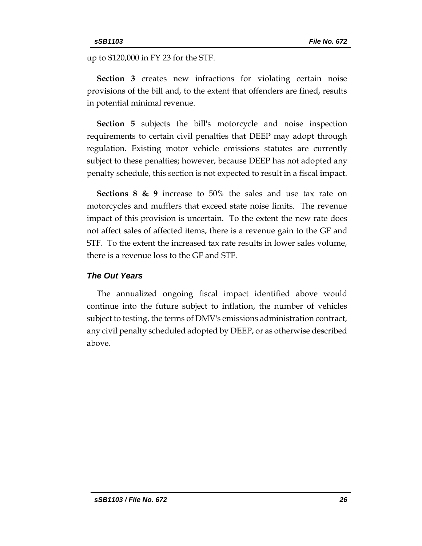up to \$120,000 in FY 23 for the STF.

**Section 3** creates new infractions for violating certain noise provisions of the bill and, to the extent that offenders are fined, results in potential minimal revenue.

**Section 5** subjects the bill's motorcycle and noise inspection requirements to certain civil penalties that DEEP may adopt through regulation. Existing motor vehicle emissions statutes are currently subject to these penalties; however, because DEEP has not adopted any penalty schedule, this section is not expected to result in a fiscal impact.

**Sections 8 & 9** increase to 50% the sales and use tax rate on motorcycles and mufflers that exceed state noise limits. The revenue impact of this provision is uncertain. To the extent the new rate does not affect sales of affected items, there is a revenue gain to the GF and STF. To the extent the increased tax rate results in lower sales volume, there is a revenue loss to the GF and STF.

#### *The Out Years*

The annualized ongoing fiscal impact identified above would continue into the future subject to inflation, the number of vehicles subject to testing, the terms of DMV's emissions administration contract, any civil penalty scheduled adopted by DEEP, or as otherwise described above.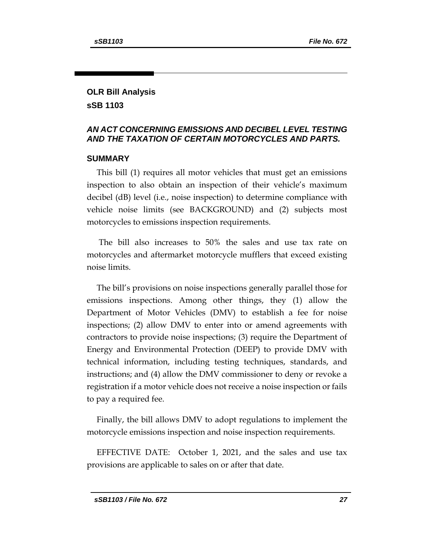## **OLR Bill Analysis sSB 1103**

#### *AN ACT CONCERNING EMISSIONS AND DECIBEL LEVEL TESTING AND THE TAXATION OF CERTAIN MOTORCYCLES AND PARTS.*

#### **SUMMARY**

This bill (1) requires all motor vehicles that must get an emissions inspection to also obtain an inspection of their vehicle's maximum decibel (dB) level (i.e., noise inspection) to determine compliance with vehicle noise limits (see BACKGROUND) and (2) subjects most motorcycles to emissions inspection requirements.

The bill also increases to 50% the sales and use tax rate on motorcycles and aftermarket motorcycle mufflers that exceed existing noise limits.

The bill's provisions on noise inspections generally parallel those for emissions inspections. Among other things, they (1) allow the Department of Motor Vehicles (DMV) to establish a fee for noise inspections; (2) allow DMV to enter into or amend agreements with contractors to provide noise inspections; (3) require the Department of Energy and Environmental Protection (DEEP) to provide DMV with technical information, including testing techniques, standards, and instructions; and (4) allow the DMV commissioner to deny or revoke a registration if a motor vehicle does not receive a noise inspection or fails to pay a required fee.

Finally, the bill allows DMV to adopt regulations to implement the motorcycle emissions inspection and noise inspection requirements.

EFFECTIVE DATE: October 1, 2021, and the sales and use tax provisions are applicable to sales on or after that date.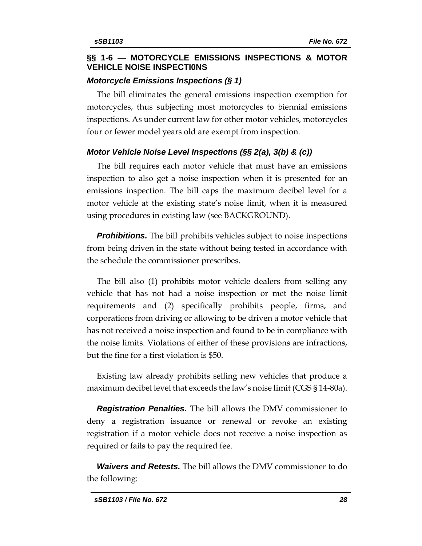#### **§§ 1-6 — MOTORCYCLE EMISSIONS INSPECTIONS & MOTOR VEHICLE NOISE INSPECTI0NS**

#### *Motorcycle Emissions Inspections (§ 1)*

The bill eliminates the general emissions inspection exemption for motorcycles, thus subjecting most motorcycles to biennial emissions inspections. As under current law for other motor vehicles, motorcycles four or fewer model years old are exempt from inspection.

## *Motor Vehicle Noise Level Inspections (§§ 2(a), 3(b) & (c))*

The bill requires each motor vehicle that must have an emissions inspection to also get a noise inspection when it is presented for an emissions inspection. The bill caps the maximum decibel level for a motor vehicle at the existing state's noise limit, when it is measured using procedures in existing law (see BACKGROUND).

**Prohibitions.** The bill prohibits vehicles subject to noise inspections from being driven in the state without being tested in accordance with the schedule the commissioner prescribes.

The bill also (1) prohibits motor vehicle dealers from selling any vehicle that has not had a noise inspection or met the noise limit requirements and (2) specifically prohibits people, firms, and corporations from driving or allowing to be driven a motor vehicle that has not received a noise inspection and found to be in compliance with the noise limits. Violations of either of these provisions are infractions, but the fine for a first violation is \$50.

Existing law already prohibits selling new vehicles that produce a maximum decibel level that exceeds the law's noise limit (CGS § 14-80a).

*Registration Penalties.* The bill allows the DMV commissioner to deny a registration issuance or renewal or revoke an existing registration if a motor vehicle does not receive a noise inspection as required or fails to pay the required fee.

*Waivers and Retests.* The bill allows the DMV commissioner to do the following: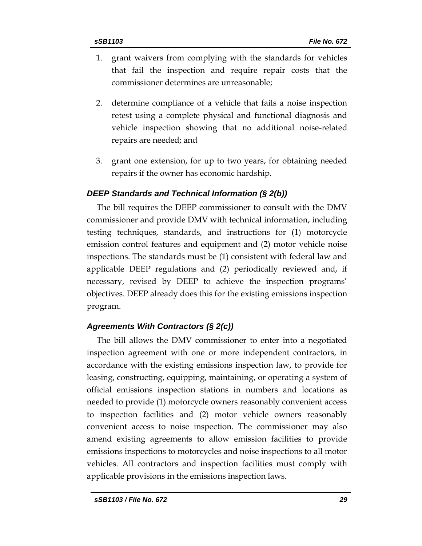- 1. grant waivers from complying with the standards for vehicles that fail the inspection and require repair costs that the commissioner determines are unreasonable;
- 2. determine compliance of a vehicle that fails a noise inspection retest using a complete physical and functional diagnosis and vehicle inspection showing that no additional noise-related repairs are needed; and
- 3. grant one extension, for up to two years, for obtaining needed repairs if the owner has economic hardship.

### *DEEP Standards and Technical Information (§ 2(b))*

The bill requires the DEEP commissioner to consult with the DMV commissioner and provide DMV with technical information, including testing techniques, standards, and instructions for (1) motorcycle emission control features and equipment and (2) motor vehicle noise inspections. The standards must be (1) consistent with federal law and applicable DEEP regulations and (2) periodically reviewed and, if necessary, revised by DEEP to achieve the inspection programs' objectives. DEEP already does this for the existing emissions inspection program.

## *Agreements With Contractors (§ 2(c))*

The bill allows the DMV commissioner to enter into a negotiated inspection agreement with one or more independent contractors, in accordance with the existing emissions inspection law, to provide for leasing, constructing, equipping, maintaining, or operating a system of official emissions inspection stations in numbers and locations as needed to provide (1) motorcycle owners reasonably convenient access to inspection facilities and (2) motor vehicle owners reasonably convenient access to noise inspection. The commissioner may also amend existing agreements to allow emission facilities to provide emissions inspections to motorcycles and noise inspections to all motor vehicles. All contractors and inspection facilities must comply with applicable provisions in the emissions inspection laws.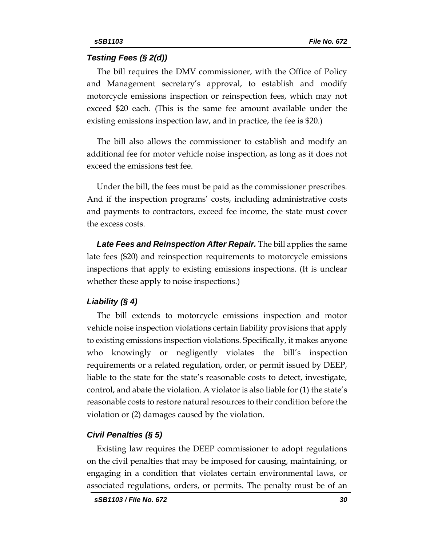#### *Testing Fees (§ 2(d))*

The bill requires the DMV commissioner, with the Office of Policy and Management secretary's approval, to establish and modify motorcycle emissions inspection or reinspection fees, which may not exceed \$20 each. (This is the same fee amount available under the existing emissions inspection law, and in practice, the fee is \$20.)

The bill also allows the commissioner to establish and modify an additional fee for motor vehicle noise inspection, as long as it does not exceed the emissions test fee.

Under the bill, the fees must be paid as the commissioner prescribes. And if the inspection programs' costs, including administrative costs and payments to contractors, exceed fee income, the state must cover the excess costs.

*Late Fees and Reinspection After Repair.* The bill applies the same late fees (\$20) and reinspection requirements to motorcycle emissions inspections that apply to existing emissions inspections. (It is unclear whether these apply to noise inspections.)

#### *Liability (§ 4)*

The bill extends to motorcycle emissions inspection and motor vehicle noise inspection violations certain liability provisions that apply to existing emissions inspection violations. Specifically, it makes anyone who knowingly or negligently violates the bill's inspection requirements or a related regulation, order, or permit issued by DEEP, liable to the state for the state's reasonable costs to detect, investigate, control, and abate the violation. A violator is also liable for (1) the state's reasonable costs to restore natural resources to their condition before the violation or (2) damages caused by the violation.

#### *Civil Penalties (§ 5)*

Existing law requires the DEEP commissioner to adopt regulations on the civil penalties that may be imposed for causing, maintaining, or engaging in a condition that violates certain environmental laws, or associated regulations, orders, or permits. The penalty must be of an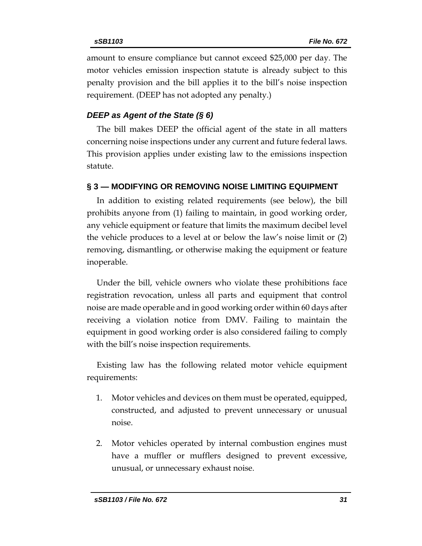amount to ensure compliance but cannot exceed \$25,000 per day. The motor vehicles emission inspection statute is already subject to this penalty provision and the bill applies it to the bill's noise inspection requirement. (DEEP has not adopted any penalty.)

### *DEEP as Agent of the State (§ 6)*

The bill makes DEEP the official agent of the state in all matters concerning noise inspections under any current and future federal laws. This provision applies under existing law to the emissions inspection statute.

### **§ 3 — MODIFYING OR REMOVING NOISE LIMITING EQUIPMENT**

In addition to existing related requirements (see below), the bill prohibits anyone from (1) failing to maintain, in good working order, any vehicle equipment or feature that limits the maximum decibel level the vehicle produces to a level at or below the law's noise limit or (2) removing, dismantling, or otherwise making the equipment or feature inoperable.

Under the bill, vehicle owners who violate these prohibitions face registration revocation, unless all parts and equipment that control noise are made operable and in good working order within 60 days after receiving a violation notice from DMV. Failing to maintain the equipment in good working order is also considered failing to comply with the bill's noise inspection requirements.

Existing law has the following related motor vehicle equipment requirements:

- 1. Motor vehicles and devices on them must be operated, equipped, constructed, and adjusted to prevent unnecessary or unusual noise.
- 2. Motor vehicles operated by internal combustion engines must have a muffler or mufflers designed to prevent excessive, unusual, or unnecessary exhaust noise.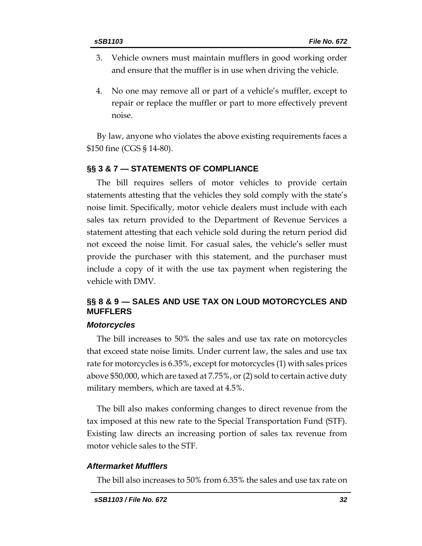- 3. Vehicle owners must maintain mufflers in good working order and ensure that the muffler is in use when driving the vehicle.
- 4. No one may remove all or part of a vehicle's muffler, except to repair or replace the muffler or part to more effectively prevent noise.

By law, anyone who violates the above existing requirements faces a \$150 fine (CGS § 14-80).

#### **§§ 3 & 7 — STATEMENTS OF COMPLIANCE**

The bill requires sellers of motor vehicles to provide certain statements attesting that the vehicles they sold comply with the state's noise limit. Specifically, motor vehicle dealers must include with each sales tax return provided to the Department of Revenue Services a statement attesting that each vehicle sold during the return period did not exceed the noise limit. For casual sales, the vehicle's seller must provide the purchaser with this statement, and the purchaser must include a copy of it with the use tax payment when registering the vehicle with DMV.

## **§§ 8 & 9 — SALES AND USE TAX ON LOUD MOTORCYCLES AND MUFFLERS**

#### *Motorcycles*

The bill increases to 50% the sales and use tax rate on motorcycles that exceed state noise limits. Under current law, the sales and use tax rate for motorcycles is 6.35%, except for motorcycles (1) with sales prices above \$50,000, which are taxed at 7.75%, or (2) sold to certain active duty military members, which are taxed at 4.5%.

The bill also makes conforming changes to direct revenue from the tax imposed at this new rate to the Special Transportation Fund (STF). Existing law directs an increasing portion of sales tax revenue from motor vehicle sales to the STF.

#### *Aftermarket Mufflers*

The bill also increases to 50% from 6.35% the sales and use tax rate on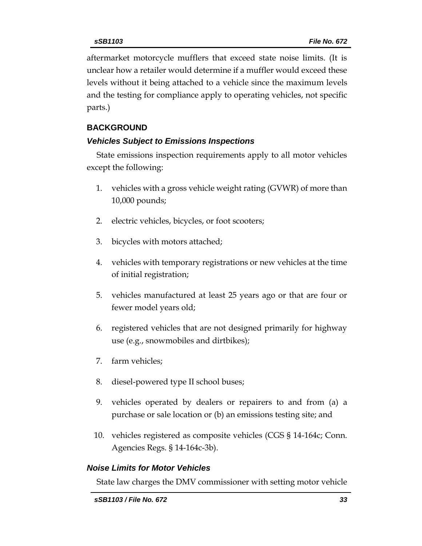aftermarket motorcycle mufflers that exceed state noise limits. (It is unclear how a retailer would determine if a muffler would exceed these levels without it being attached to a vehicle since the maximum levels and the testing for compliance apply to operating vehicles, not specific parts.)

## **BACKGROUND**

### *Vehicles Subject to Emissions Inspections*

State emissions inspection requirements apply to all motor vehicles except the following:

- 1. vehicles with a gross vehicle weight rating (GVWR) of more than 10,000 pounds;
- 2. electric vehicles, bicycles, or foot scooters;
- 3. bicycles with motors attached;
- 4. vehicles with temporary registrations or new vehicles at the time of initial registration;
- 5. vehicles manufactured at least 25 years ago or that are four or fewer model years old;
- 6. registered vehicles that are not designed primarily for highway use (e.g., snowmobiles and dirtbikes);
- 7. farm vehicles;
- 8. diesel-powered type II school buses;
- 9. vehicles operated by dealers or repairers to and from (a) a purchase or sale location or (b) an emissions testing site; and
- 10. vehicles registered as composite vehicles (CGS § 14-164c; Conn. Agencies Regs. § 14-164c-3b).

## *Noise Limits for Motor Vehicles*

State law charges the DMV commissioner with setting motor vehicle